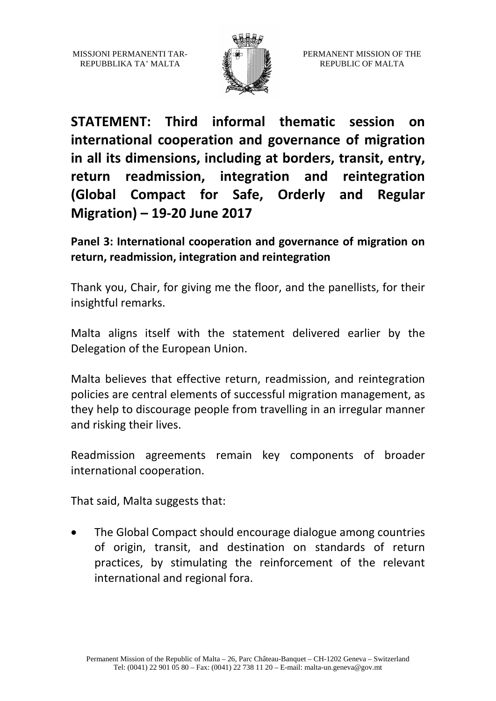MISSJONI PERMANENTI TAR-REPUBBLIKA TA' MALTA



**STATEMENT: Third informal thematic session on international cooperation and governance of migration in all its dimensions, including at borders, transit, entry, return readmission, integration and reintegration (Global Compact for Safe, Orderly and Regular Migration) – 19-20 June 2017**

**Panel 3: International cooperation and governance of migration on return, readmission, integration and reintegration**

Thank you, Chair, for giving me the floor, and the panellists, for their insightful remarks.

Malta aligns itself with the statement delivered earlier by the Delegation of the European Union.

Malta believes that effective return, readmission, and reintegration policies are central elements of successful migration management, as they help to discourage people from travelling in an irregular manner and risking their lives.

Readmission agreements remain key components of broader international cooperation.

That said, Malta suggests that:

• The Global Compact should encourage dialogue among countries of origin, transit, and destination on standards of return practices, by stimulating the reinforcement of the relevant international and regional fora.